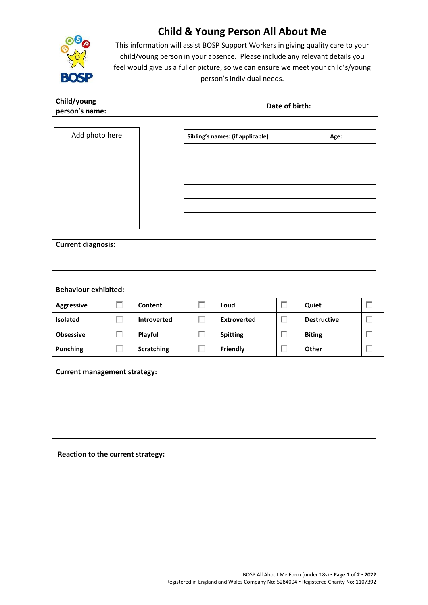

## **Child & Young Person All About Me**

This information will assist BOSP Support Workers in giving quality care to your child/young person in your absence. Please include any relevant details you feel would give us a fuller picture, so we can ensure we meet your child's/young person's individual needs.

| Child/young    | Date of birth: |  |
|----------------|----------------|--|
| person's name: |                |  |

| Add photo here | Sibling's names: (if applicable) | Age: |
|----------------|----------------------------------|------|
|                |                                  |      |
|                |                                  |      |
|                |                                  |      |
|                |                                  |      |
|                |                                  |      |
|                |                                  |      |

| <b>Current diagnosis:</b> |  |  |  |
|---------------------------|--|--|--|
|                           |  |  |  |
|                           |  |  |  |

| <b>Behaviour exhibited:</b> |  |                    |  |                    |  |                    |  |
|-----------------------------|--|--------------------|--|--------------------|--|--------------------|--|
| <b>Aggressive</b>           |  | Content            |  | Loud               |  | Quiet              |  |
| <b>Isolated</b>             |  | <b>Introverted</b> |  | <b>Extroverted</b> |  | <b>Destructive</b> |  |
| <b>Obsessive</b>            |  | Playful            |  | <b>Spitting</b>    |  | <b>Biting</b>      |  |
| <b>Punching</b>             |  | <b>Scratching</b>  |  | <b>Friendly</b>    |  | Other              |  |

| <b>Current management strategy:</b> |  |  |
|-------------------------------------|--|--|
|                                     |  |  |
|                                     |  |  |
|                                     |  |  |
|                                     |  |  |

**Reaction to the current strategy:**